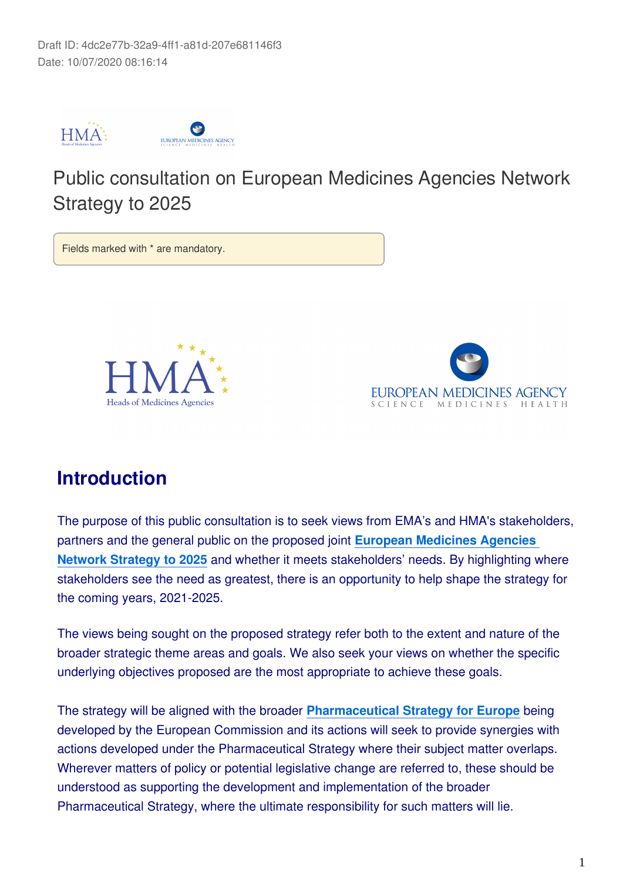

# Public consultation on European Medicines Agencies Network Strategy to 2025

Fields marked with \* are mandatory.





# **Introduction**

The purpose of this public consultation is to seek views from EMA's and HMA's stakeholders, partners and the general public on the proposed joint **[European Medicines Agencies](https://www.ema.europa.eu/en/documents/other/european-medicines-agencies-network-strategy-2025-protecting-public-health-time-rapid-change_en.pdf)  [Network Strategy to 2025](https://www.ema.europa.eu/en/documents/other/european-medicines-agencies-network-strategy-2025-protecting-public-health-time-rapid-change_en.pdf)** and whether it meets stakeholders' needs. By highlighting where stakeholders see the need as greatest, there is an opportunity to help shape the strategy for the coming years, 2021-2025.

The views being sought on the proposed strategy refer both to the extent and nature of the broader strategic theme areas and goals. We also seek your views on whether the specific underlying objectives proposed are the most appropriate to achieve these goals.

The strategy will be aligned with the broader **[Pharmaceutical Strategy for Europe](https://ec.europa.eu/info/law/better-regulation/have-your-say/initiatives/12421-Pharmaceutical-Strategy-Timely-patient-access-to-affordable-medicines/public-consultation)** being developed by the European Commission and its actions will seek to provide synergies with actions developed under the Pharmaceutical Strategy where their subject matter overlaps. Wherever matters of policy or potential legislative change are referred to, these should be understood as supporting the development and implementation of the broader Pharmaceutical Strategy, where the ultimate responsibility for such matters will lie.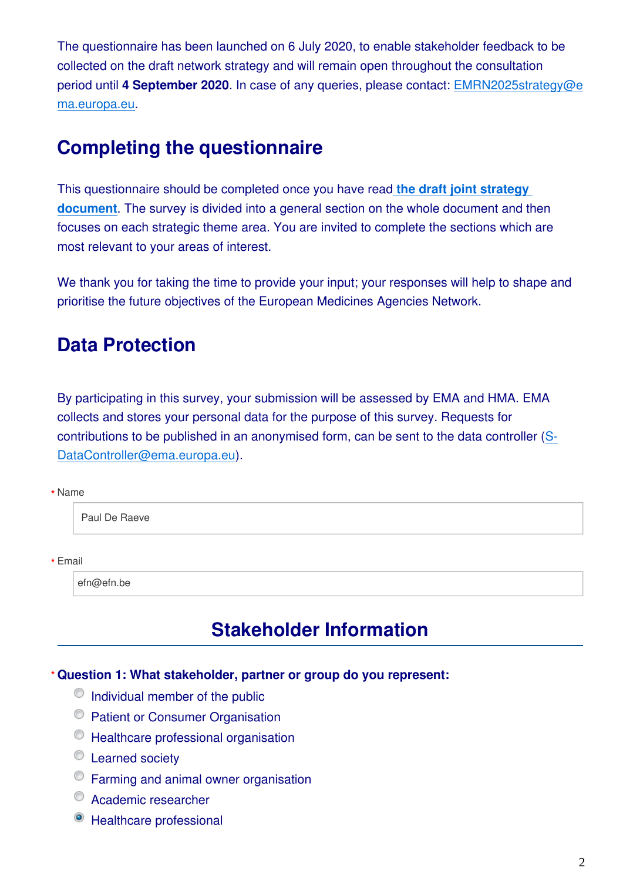The questionnaire has been launched on 6 July 2020, to enable stakeholder feedback to be collected on the draft network strategy and will remain open throughout the consultation period until **4 September 2020**. In case of any queries, please contact: EMRN2025strategy@e ma.europa.eu.

# **Completing the questionnaire**

This questionnaire should be completed once you have read **[the draft joint strategy](https://www.ema.europa.eu/en/documents/other/european-medicines-agencies-network-strategy-2025-protecting-public-health-time-rapid-change_en.pdf)  [document](https://www.ema.europa.eu/en/documents/other/european-medicines-agencies-network-strategy-2025-protecting-public-health-time-rapid-change_en.pdf)**. The survey is divided into a general section on the whole document and then focuses on each strategic theme area. You are invited to complete the sections which are most relevant to your areas of interest.

We thank you for taking the time to provide your input; your responses will help to shape and prioritise the future objectives of the European Medicines Agencies Network.

# **Data Protection**

By participating in this survey, your submission will be assessed by EMA and HMA. EMA collects and stores your personal data for the purpose of this survey. Requests for contributions to be published in an anonymised form, can be sent to the data controller (S-DataController@ema.europa.eu).

#### Name **\***

Paul De Raeve

Email **\***

efn@efn.be

# **Stakeholder Information**

### **Question 1: What stakeholder, partner or group do you represent: \***

- $\circ$  Individual member of the public
- <sup>©</sup> Patient or Consumer Organisation
- <sup>O</sup> Healthcare professional organisation
- **Example Society**
- Farming and animal owner organisation
- Academic researcher
- Healthcare professional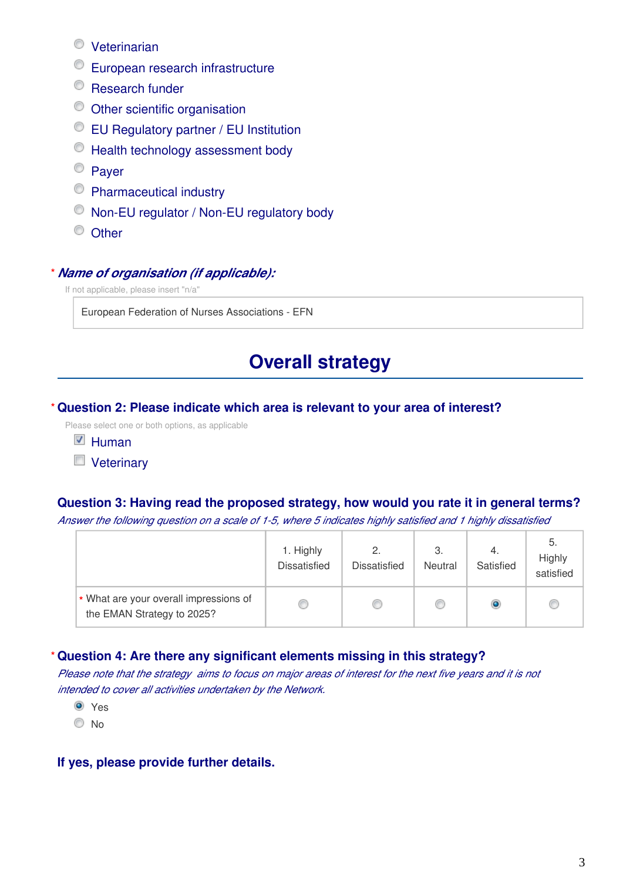- Veterinarian
- European research infrastructure
- <sup>©</sup> Research funder
- Other scientific organisation
- EU Regulatory partner / EU Institution
- $\circledcirc$  Health technology assessment body
- <sup>©</sup> Paver
- Pharmaceutical industry
- Non-EU regulator / Non-EU regulatory body
- <sup>O</sup> Other

#### *Name of organisation (if applicable):* **\***

If not applicable, please insert "n/a"

European Federation of Nurses Associations - EFN

# **Overall strategy**

#### **Question 2: Please indicate which area is relevant to your area of interest? \***

Please select one or both options, as applicable

- $\nabla$  Human
- **Veterinary**

### **Question 3: Having read the proposed strategy, how would you rate it in general terms?**

*Answer the following question on a scale of 1-5, where 5 indicates highly satisfied and 1 highly dissatisfied*

|                                                                      | 1. Highly<br><b>Dissatisfied</b> | 2.<br><b>Dissatisfied</b> | 3.<br><b>Neutral</b> | 4.<br>Satisfied | 5.<br>Highly<br>satisfied |
|----------------------------------------------------------------------|----------------------------------|---------------------------|----------------------|-----------------|---------------------------|
| * What are your overall impressions of<br>the EMAN Strategy to 2025? |                                  | Œ                         |                      | ۰               |                           |

#### **Question 4: Are there any significant elements missing in this strategy? \***

*Please note that the strategy aims to focus on major areas of interest for the next five years and it is not intended to cover all activities undertaken by the Network.*

<sup>O</sup> Yes

© No

#### **If yes, please provide further details.**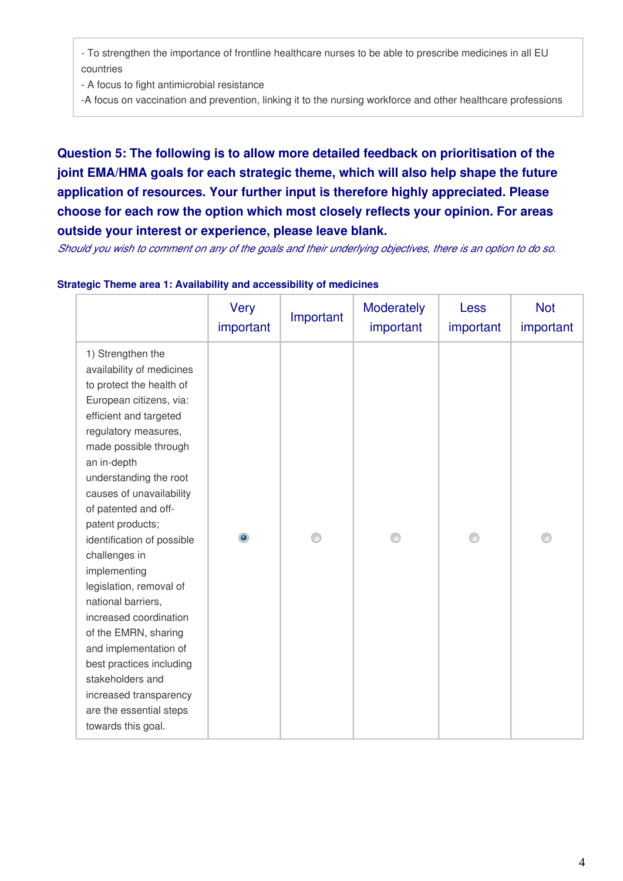- To strengthen the importance of frontline healthcare nurses to be able to prescribe medicines in all EU countries

- A focus to fight antimicrobial resistance

-A focus on vaccination and prevention, linking it to the nursing workforce and other healthcare professions

# **Question 5: The following is to allow more detailed feedback on prioritisation of the joint EMA/HMA goals for each strategic theme, which will also help shape the future application of resources. Your further input is therefore highly appreciated. Please choose for each row the option which most closely reflects your opinion. For areas outside your interest or experience, please leave blank.**

*Should you wish to comment on any of the goals and their underlying objectives, there is an option to do so.*

|                                                                                                                                                                                                                                                                                                                                                                                                                                                                                                                                                                                                                         | <b>Very</b><br>important | Important | Moderately<br>important | Less<br>important | <b>Not</b><br>important |
|-------------------------------------------------------------------------------------------------------------------------------------------------------------------------------------------------------------------------------------------------------------------------------------------------------------------------------------------------------------------------------------------------------------------------------------------------------------------------------------------------------------------------------------------------------------------------------------------------------------------------|--------------------------|-----------|-------------------------|-------------------|-------------------------|
| 1) Strengthen the<br>availability of medicines<br>to protect the health of<br>European citizens, via:<br>efficient and targeted<br>regulatory measures,<br>made possible through<br>an in-depth<br>understanding the root<br>causes of unavailability<br>of patented and off-<br>patent products;<br>identification of possible<br>challenges in<br>implementing<br>legislation, removal of<br>national barriers,<br>increased coordination<br>of the EMRN, sharing<br>and implementation of<br>best practices including<br>stakeholders and<br>increased transparency<br>are the essential steps<br>towards this goal. |                          |           |                         |                   |                         |

#### **Strategic Theme area 1: Availability and accessibility of medicines**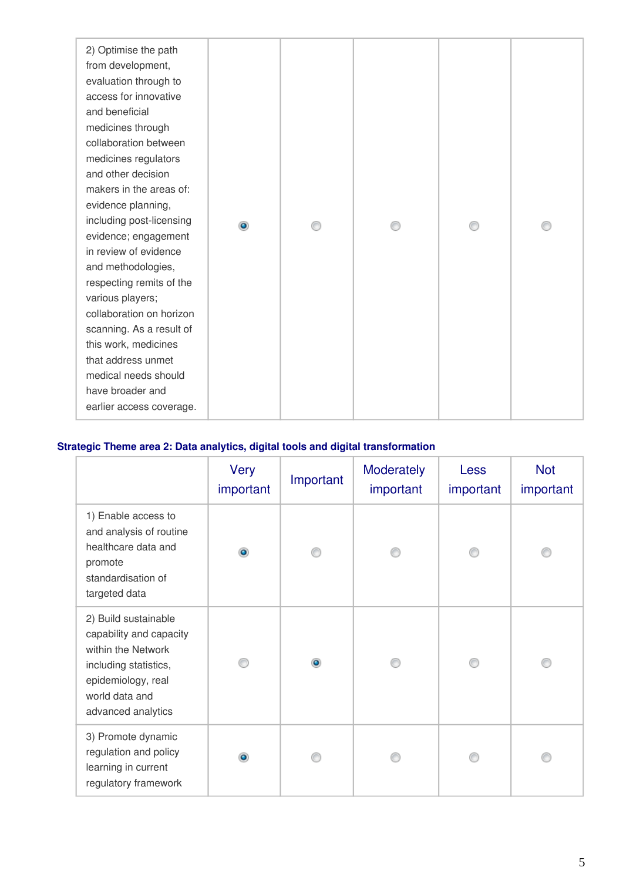### **Strategic Theme area 2: Data analytics, digital tools and digital transformation**

|                                                                                                                                                              | Very<br>important | Important | <b>Moderately</b><br>important | <b>Less</b><br>important | <b>Not</b><br>important |
|--------------------------------------------------------------------------------------------------------------------------------------------------------------|-------------------|-----------|--------------------------------|--------------------------|-------------------------|
| 1) Enable access to<br>and analysis of routine<br>healthcare data and<br>promote<br>standardisation of<br>targeted data                                      | $\bullet$         |           |                                |                          |                         |
| 2) Build sustainable<br>capability and capacity<br>within the Network<br>including statistics,<br>epidemiology, real<br>world data and<br>advanced analytics |                   | ۰         |                                |                          |                         |
| 3) Promote dynamic<br>regulation and policy<br>learning in current<br>regulatory framework                                                                   |                   |           |                                |                          |                         |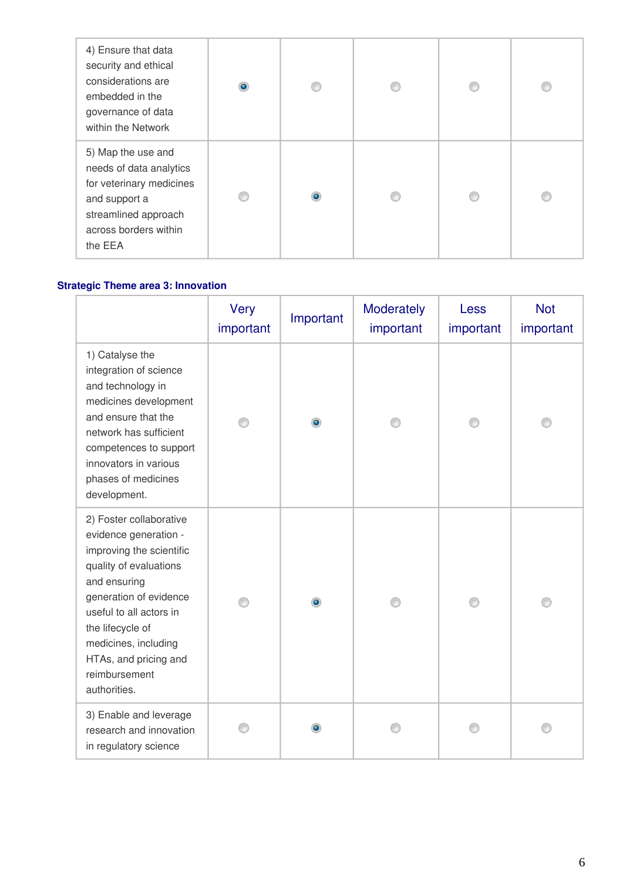| 4) Ensure that data<br>security and ethical<br>considerations are<br>embedded in the<br>governance of data<br>within the Network                       | $\circledcirc$ |  | € |  |
|--------------------------------------------------------------------------------------------------------------------------------------------------------|----------------|--|---|--|
| 5) Map the use and<br>needs of data analytics<br>for veterinary medicines<br>and support a<br>streamlined approach<br>across borders within<br>the EEA | €              |  | € |  |

### **Strategic Theme area 3: Innovation**

|                                                                                                                                                                                                                                                                                   | Very<br>important | Important | Moderately<br>important | Less<br>important | <b>Not</b><br>important |
|-----------------------------------------------------------------------------------------------------------------------------------------------------------------------------------------------------------------------------------------------------------------------------------|-------------------|-----------|-------------------------|-------------------|-------------------------|
| 1) Catalyse the<br>integration of science<br>and technology in<br>medicines development<br>and ensure that the<br>network has sufficient<br>competences to support<br>innovators in various<br>phases of medicines<br>development.                                                |                   | ۰         |                         |                   |                         |
| 2) Foster collaborative<br>evidence generation -<br>improving the scientific<br>quality of evaluations<br>and ensuring<br>generation of evidence<br>useful to all actors in<br>the lifecycle of<br>medicines, including<br>HTAs, and pricing and<br>reimbursement<br>authorities. |                   | ۰         |                         |                   |                         |
| 3) Enable and leverage<br>research and innovation<br>in regulatory science                                                                                                                                                                                                        |                   | $\bullet$ |                         |                   |                         |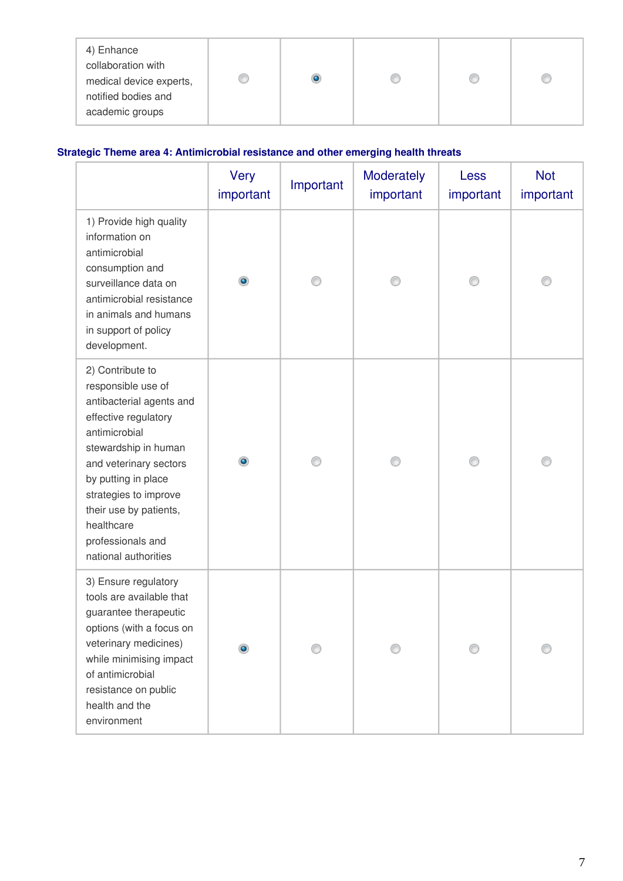## **Strategic Theme area 4: Antimicrobial resistance and other emerging health threats**

|                                                                                                                                                                                                                                                                                                    | Very<br>important | Important | Moderately<br>important | Less<br>important | <b>Not</b><br>important |
|----------------------------------------------------------------------------------------------------------------------------------------------------------------------------------------------------------------------------------------------------------------------------------------------------|-------------------|-----------|-------------------------|-------------------|-------------------------|
| 1) Provide high quality<br>information on<br>antimicrobial<br>consumption and<br>surveillance data on<br>antimicrobial resistance<br>in animals and humans<br>in support of policy<br>development.                                                                                                 | ۰                 |           |                         |                   |                         |
| 2) Contribute to<br>responsible use of<br>antibacterial agents and<br>effective regulatory<br>antimicrobial<br>stewardship in human<br>and veterinary sectors<br>by putting in place<br>strategies to improve<br>their use by patients,<br>healthcare<br>professionals and<br>national authorities |                   |           |                         |                   |                         |
| 3) Ensure regulatory<br>tools are available that<br>guarantee therapeutic<br>options (with a focus on<br>veterinary medicines)<br>while minimising impact<br>of antimicrobial<br>resistance on public<br>health and the<br>environment                                                             |                   |           |                         |                   |                         |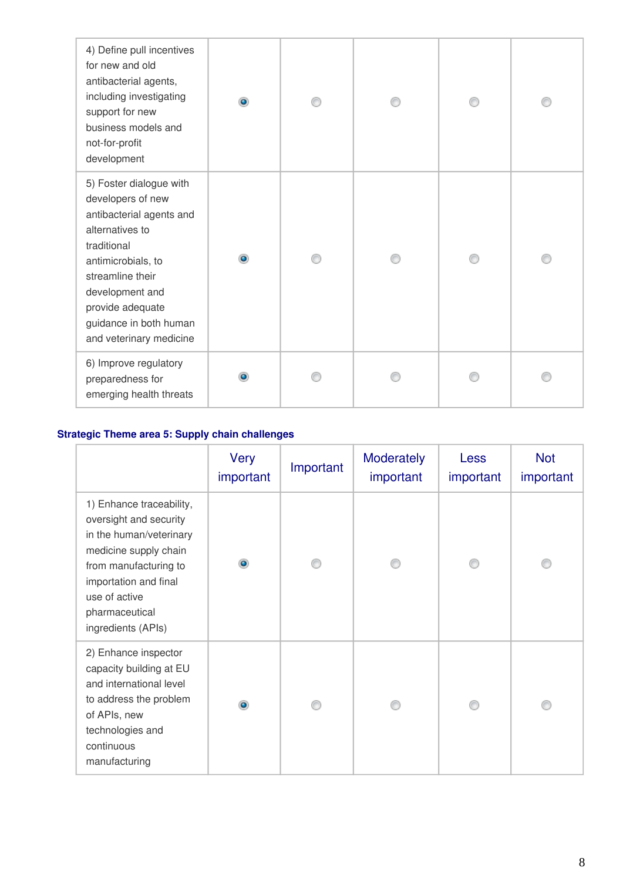| 4) Define pull incentives<br>for new and old<br>antibacterial agents,<br>including investigating<br>support for new<br>business models and<br>not-for-profit<br>development                                                                      | ۵         |  |  |
|--------------------------------------------------------------------------------------------------------------------------------------------------------------------------------------------------------------------------------------------------|-----------|--|--|
| 5) Foster dialogue with<br>developers of new<br>antibacterial agents and<br>alternatives to<br>traditional<br>antimicrobials, to<br>streamline their<br>development and<br>provide adequate<br>guidance in both human<br>and veterinary medicine | $\bullet$ |  |  |
| 6) Improve regulatory<br>preparedness for<br>emerging health threats                                                                                                                                                                             |           |  |  |

## **Strategic Theme area 5: Supply chain challenges**

|                                                                                                                                                                                                                   | Very<br>important | Important | <b>Moderately</b><br>important | <b>Less</b><br>important | <b>Not</b><br>important |
|-------------------------------------------------------------------------------------------------------------------------------------------------------------------------------------------------------------------|-------------------|-----------|--------------------------------|--------------------------|-------------------------|
| 1) Enhance traceability,<br>oversight and security<br>in the human/veterinary<br>medicine supply chain<br>from manufacturing to<br>importation and final<br>use of active<br>pharmaceutical<br>ingredients (APIs) | $\bullet$         |           |                                |                          |                         |
| 2) Enhance inspector<br>capacity building at EU<br>and international level<br>to address the problem<br>of APIs, new<br>technologies and<br>continuous<br>manufacturing                                           | ۰                 |           |                                |                          |                         |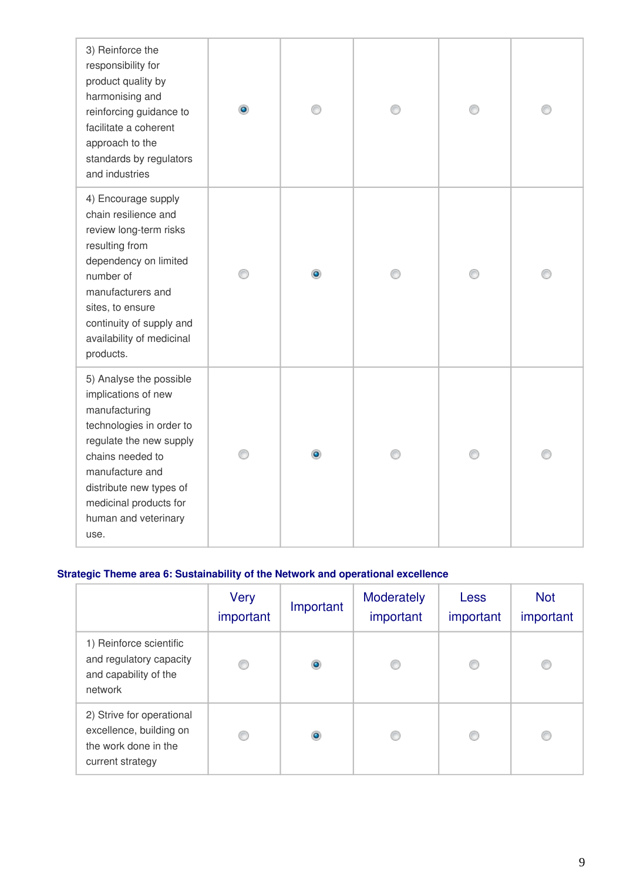| 3) Reinforce the<br>responsibility for<br>product quality by<br>harmonising and<br>reinforcing guidance to<br>facilitate a coherent<br>approach to the<br>standards by regulators<br>and industries                                                |   |   |  |  |
|----------------------------------------------------------------------------------------------------------------------------------------------------------------------------------------------------------------------------------------------------|---|---|--|--|
| 4) Encourage supply<br>chain resilience and<br>review long-term risks<br>resulting from<br>dependency on limited<br>number of<br>manufacturers and<br>sites, to ensure<br>continuity of supply and<br>availability of medicinal<br>products.       | ∩ | ۰ |  |  |
| 5) Analyse the possible<br>implications of new<br>manufacturing<br>technologies in order to<br>regulate the new supply<br>chains needed to<br>manufacture and<br>distribute new types of<br>medicinal products for<br>human and veterinary<br>use. |   |   |  |  |

### **Strategic Theme area 6: Sustainability of the Network and operational excellence**

|                                                                                                  | Very<br>important | Important | <b>Moderately</b><br>important | <b>Less</b><br>important | <b>Not</b><br>important |
|--------------------------------------------------------------------------------------------------|-------------------|-----------|--------------------------------|--------------------------|-------------------------|
| 1) Reinforce scientific<br>and regulatory capacity<br>and capability of the<br>network           |                   | ۰         |                                |                          |                         |
| 2) Strive for operational<br>excellence, building on<br>the work done in the<br>current strategy |                   | ۰         |                                |                          |                         |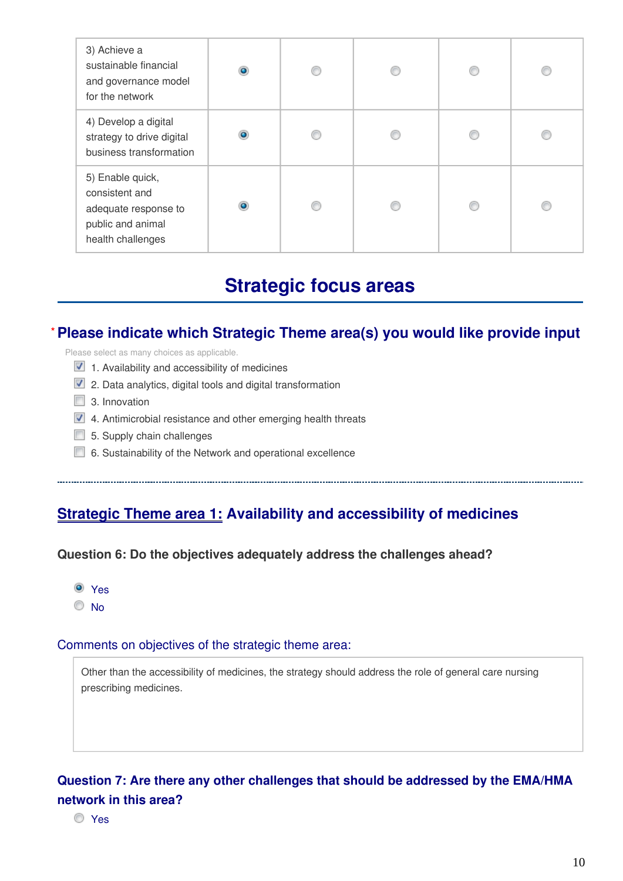| 3) Achieve a<br>sustainable financial<br>and governance model<br>for the network                     | $\circledcirc$ |  | C |  |
|------------------------------------------------------------------------------------------------------|----------------|--|---|--|
| 4) Develop a digital<br>strategy to drive digital<br>business transformation                         | $\bullet$      |  | € |  |
| 5) Enable quick,<br>consistent and<br>adequate response to<br>public and animal<br>health challenges | ٥              |  | œ |  |

# **Strategic focus areas**

### **Please indicate which Strategic Theme area(s) you would like provide input \***

Please select as many choices as applicable.

- $\triangledown$  1. Availability and accessibility of medicines
- $\triangledown$  2. Data analytics, digital tools and digital transformation
- 3. Innovation
- $\blacksquare$  4. Antimicrobial resistance and other emerging health threats
- $\Box$  5. Supply chain challenges
- 6. Sustainability of the Network and operational excellence

## **Strategic Theme area 1: Availability and accessibility of medicines**

#### **Question 6: Do the objectives adequately address the challenges ahead?**



#### Comments on objectives of the strategic theme area:

Other than the accessibility of medicines, the strategy should address the role of general care nursing prescribing medicines.

## **Question 7: Are there any other challenges that should be addressed by the EMA/HMA network in this area?**

Yes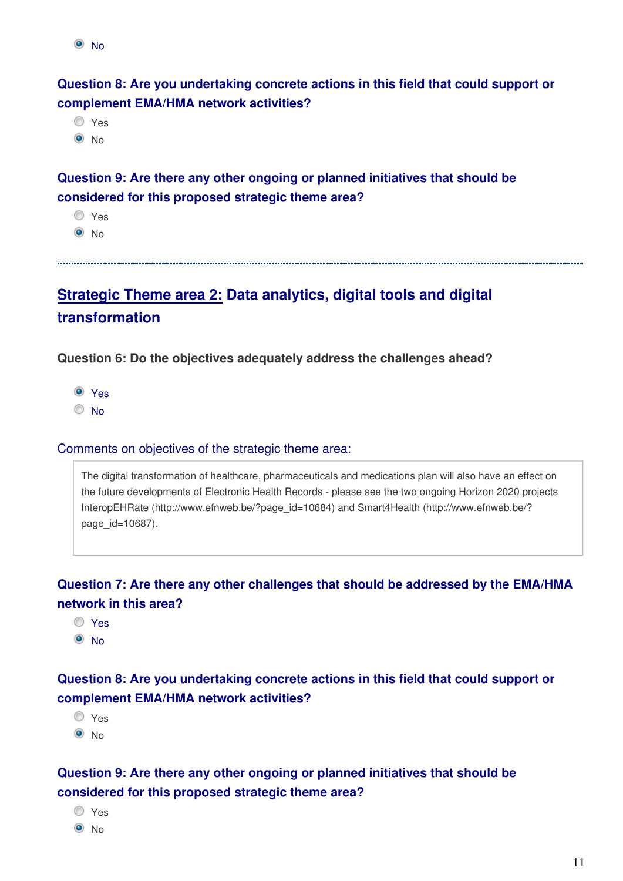```
\odot No
```
**Question 8: Are you undertaking concrete actions in this field that could support or complement EMA/HMA network activities?**

O Yes  $\odot$  No

**Question 9: Are there any other ongoing or planned initiatives that should be considered for this proposed strategic theme area?**

O Yes

 $\odot$  No

# **Strategic Theme area 2: Data analytics, digital tools and digital transformation**

**Question 6: Do the objectives adequately address the challenges ahead?**

Yes

<sup>O</sup>No

### Comments on objectives of the strategic theme area:

The digital transformation of healthcare, pharmaceuticals and medications plan will also have an effect on the future developments of Electronic Health Records - please see the two ongoing Horizon 2020 projects InteropEHRate (http://www.efnweb.be/?page\_id=10684) and Smart4Health (http://www.efnweb.be/? page id=10687).

## **Question 7: Are there any other challenges that should be addressed by the EMA/HMA network in this area?**

- Yes
- <sup>O</sup>No

### **Question 8: Are you undertaking concrete actions in this field that could support or complement EMA/HMA network activities?**

- Yes
- $\odot$  No

## **Question 9: Are there any other ongoing or planned initiatives that should be considered for this proposed strategic theme area?**

| ×<br>٧<br>× |
|-------------|
|             |

 $\odot$  No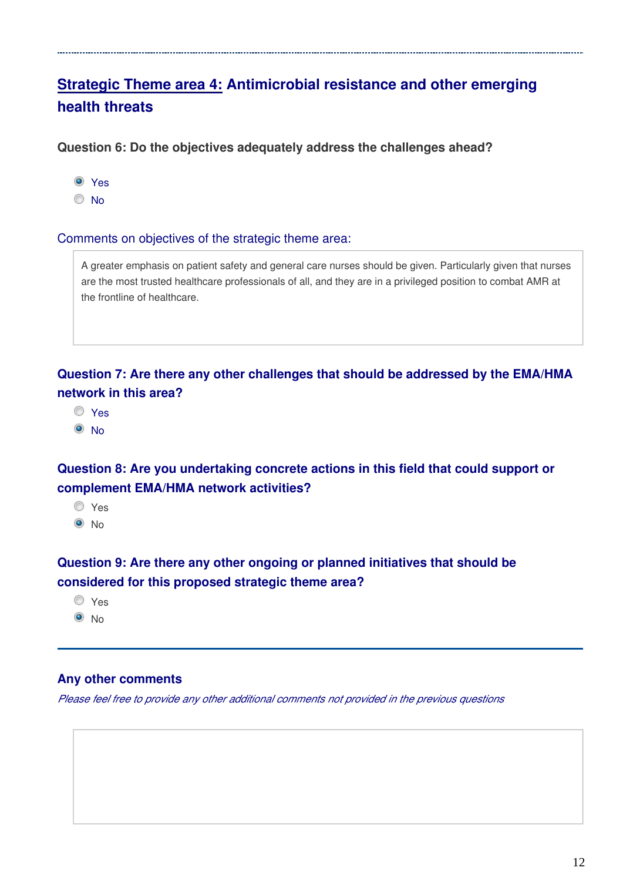# **Strategic Theme area 4: Antimicrobial resistance and other emerging health threats**

**Question 6: Do the objectives adequately address the challenges ahead?**

Yes

<sup>O</sup>No

Comments on objectives of the strategic theme area:

A greater emphasis on patient safety and general care nurses should be given. Particularly given that nurses are the most trusted healthcare professionals of all, and they are in a privileged position to combat AMR at the frontline of healthcare.

**Question 7: Are there any other challenges that should be addressed by the EMA/HMA network in this area?**

Yes

<sup>O</sup>No

**Question 8: Are you undertaking concrete actions in this field that could support or complement EMA/HMA network activities?**

Yes  $\odot$  No

**Question 9: Are there any other ongoing or planned initiatives that should be considered for this proposed strategic theme area?**

Yes  $\odot$  No

### **Any other comments**

*Please feel free to provide any other additional comments not provided in the previous questions*